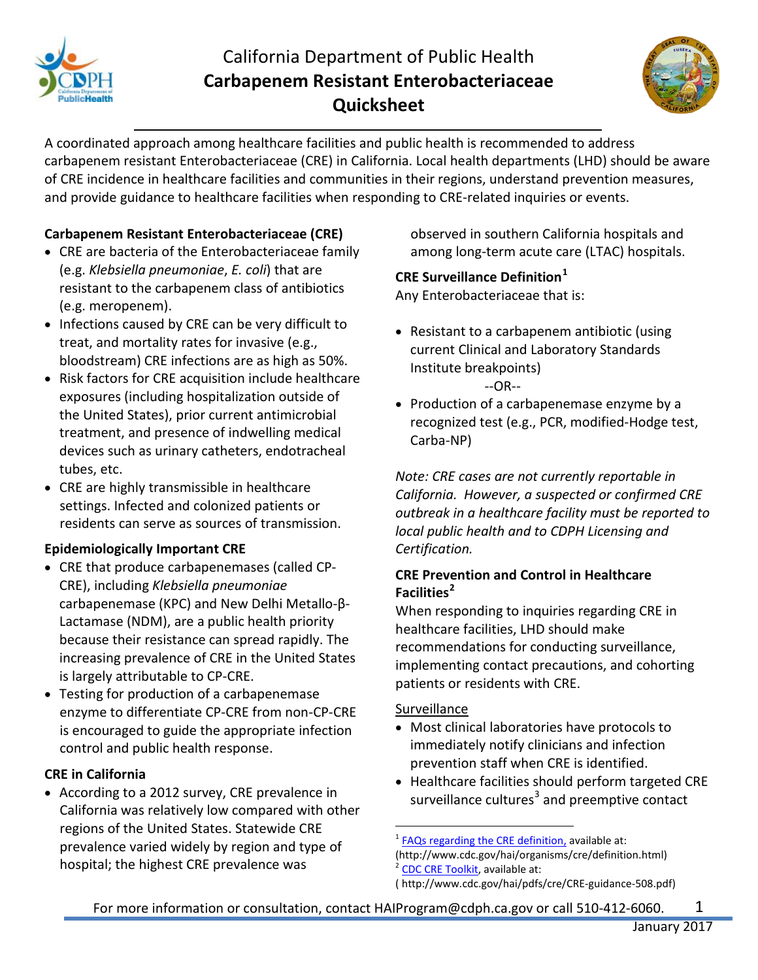

# California Department of Public Health **Carbapenem Resistant Enterobacteriaceae Quicksheet**



A coordinated approach among healthcare facilities and public health is recommended to address carbapenem resistant Enterobacteriaceae (CRE) in California. Local health departments (LHD) should be aware of CRE incidence in healthcare facilities and communities in their regions, understand prevention measures, and provide guidance to healthcare facilities when responding to CRE-related inquiries or events.

## **Carbapenem Resistant Enterobacteriaceae (CRE)**

- CRE are bacteria of the Enterobacteriaceae family (e.g. *Klebsiella pneumoniae*, *E. coli*) that are resistant to the carbapenem class of antibiotics (e.g. meropenem).
- Infections caused by CRE can be very difficult to treat, and mortality rates for invasive (e.g., bloodstream) CRE infections are as high as 50%.
- Risk factors for CRE acquisition include healthcare exposures (including hospitalization outside of the United States), prior current antimicrobial treatment, and presence of indwelling medical devices such as urinary catheters, endotracheal tubes, etc.
- CRE are highly transmissible in healthcare settings. Infected and colonized patients or residents can serve as sources of transmission.

## **Epidemiologically Important CRE**

- CRE that produce carbapenemases (called CP-CRE), including *Klebsiella pneumoniae* carbapenemase (KPC) and New Delhi Metallo-β-Lactamase (NDM), are a public health priority because their resistance can spread rapidly. The increasing prevalence of CRE in the United States is largely attributable to CP-CRE.
- Testing for production of a carbapenemase enzyme to differentiate CP-CRE from non-CP-CRE is encouraged to guide the appropriate infection control and public health response.

## **CRE in California**

<span id="page-0-2"></span><span id="page-0-1"></span><span id="page-0-0"></span>• According to a 2012 survey, CRE prevalence in California was relatively low compared with other regions of the United States. Statewide CRE prevalence varied widely by region and type of hospital; the highest CRE prevalence was

observed in southern California hospitals and among long-term acute care (LTAC) hospitals.

## **CRE Surveillance Definition[1](#page-0-0)**

Any Enterobacteriaceae that is:

- Resistant to a carbapenem antibiotic (using current Clinical and Laboratory Standards Institute breakpoints) --OR--
- Production of a carbapenemase enzyme by a recognized test (e.g., PCR, modified-Hodge test, Carba-NP)

*Note: CRE cases are not currently reportable in California. However, a suspected or confirmed CRE outbreak in a healthcare facility must be reported to local public health and to CDPH Licensing and Certification.* 

## **CRE Prevention and Control in Healthcare Facilities[2](#page-0-1)**

When responding to inquiries regarding CRE in healthcare facilities, LHD should make recommendations for conducting surveillance, implementing contact precautions, and cohorting patients or residents with CRE.

#### Surveillance

- Most clinical laboratories have protocols to immediately notify clinicians and infection prevention staff when CRE is identified.
- Healthcare facilities should perform targeted CRE surveillance cultures<sup>[3](#page-0-2)</sup> and preemptive contact

1

 $\overline{a}$  $1$  [FAQs regarding the CRE definition,](http://www.cdc.gov/hai/organisms/cre/definition.html) available at: (http://www.cdc.gov/hai/organisms/cre/definition.html) <sup>2</sup> [CDC CRE Toolkit,](http://www.cdc.gov/hai/pdfs/cre/CRE-guidance-508.pdf) available at:

<sup>(</sup> http://www.cdc.gov/hai/pdfs/cre/CRE-guidance-508.pdf)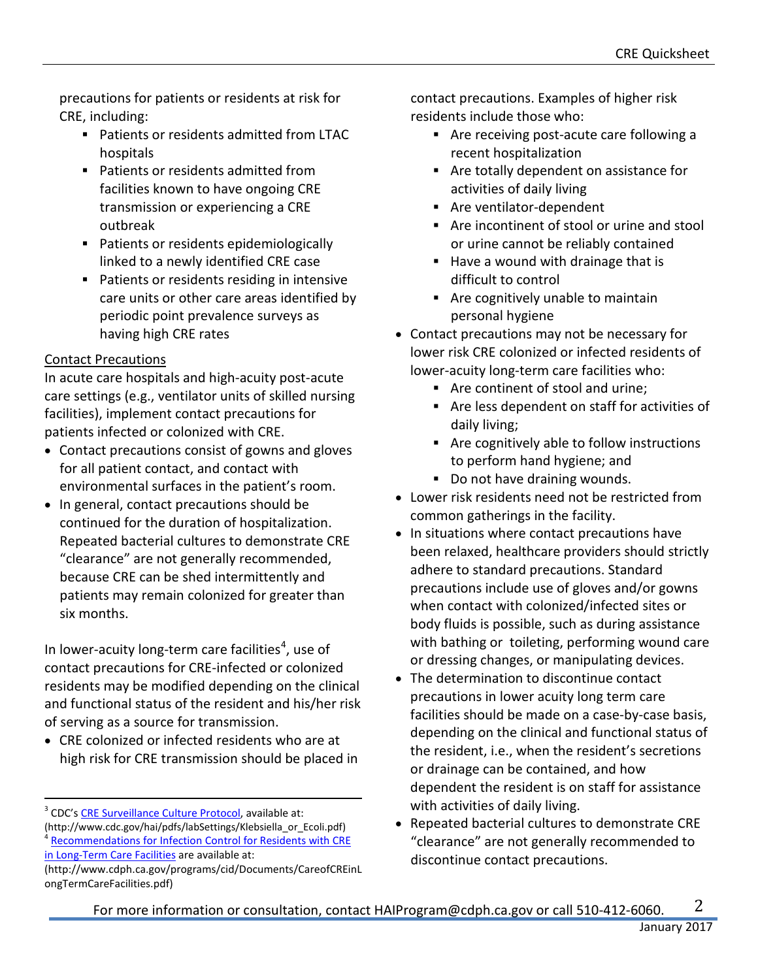precautions for patients or residents at risk for CRE, including:

- Patients or residents admitted from LTAC hospitals
- Patients or residents admitted from facilities known to have ongoing CRE transmission or experiencing a CRE outbreak
- **Patients or residents epidemiologically** linked to a newly identified CRE case
- **Patients or residents residing in intensive** care units or other care areas identified by periodic point prevalence surveys as having high CRE rates

### Contact Precautions

 $\overline{a}$ 

In acute care hospitals and high-acuity post-acute care settings (e.g., ventilator units of skilled nursing facilities), implement contact precautions for patients infected or colonized with CRE.

- Contact precautions consist of gowns and gloves for all patient contact, and contact with environmental surfaces in the patient's room.
- In general, contact precautions should be continued for the duration of hospitalization. Repeated bacterial cultures to demonstrate CRE "clearance" are not generally recommended, because CRE can be shed intermittently and patients may remain colonized for greater than six months.

In lower-acuity long-term care facilities<sup>[4](#page-1-0)</sup>, use of contact precautions for CRE-infected or colonized residents may be modified depending on the clinical and functional status of the resident and his/her risk of serving as a source for transmission.

• CRE colonized or infected residents who are at high risk for CRE transmission should be placed in

<span id="page-1-0"></span><sup>3</sup> CDC'[s CRE Surveillance Culture Protocol,](http://www.cdc.gov/hai/pdfs/labSettings/Klebsiella_or_Ecoli.pdf) available at: (http://www.cdc.gov/hai/pdfs/labSettings/Klebsiella\_or\_Ecoli.pdf) <sup>4</sup> Recommendations for Infection Control for Residents with CRE [in Long-Term Care Facilities](http://www.cdph.ca.gov/programs/cid/Documents/CareofCREinLongTermCareFacilities.pdf) are available at:

contact precautions. Examples of higher risk residents include those who:

- Are receiving post-acute care following a recent hospitalization
- Are totally dependent on assistance for activities of daily living
- Are ventilator-dependent
- Are incontinent of stool or urine and stool or urine cannot be reliably contained
- Have a wound with drainage that is difficult to control
- Are cognitively unable to maintain personal hygiene
- Contact precautions may not be necessary for lower risk CRE colonized or infected residents of lower-acuity long-term care facilities who:
	- Are continent of stool and urine;
	- Are less dependent on staff for activities of daily living;
	- Are cognitively able to follow instructions to perform hand hygiene; and
	- Do not have draining wounds.
- Lower risk residents need not be restricted from common gatherings in the facility.
- In situations where contact precautions have been relaxed, healthcare providers should strictly adhere to standard precautions. Standard precautions include use of gloves and/or gowns when contact with colonized/infected sites or body fluids is possible, such as during assistance with bathing or toileting, performing wound care or dressing changes, or manipulating devices.
- The determination to discontinue contact precautions in lower acuity long term care facilities should be made on a case-by-case basis, depending on the clinical and functional status of the resident, i.e., when the resident's secretions or drainage can be contained, and how dependent the resident is on staff for assistance with activities of daily living.
- Repeated bacterial cultures to demonstrate CRE "clearance" are not generally recommended to discontinue contact precautions.

<sup>(</sup>http://www.cdph.ca.gov/programs/cid/Documents/CareofCREinL ongTermCareFacilities.pdf)